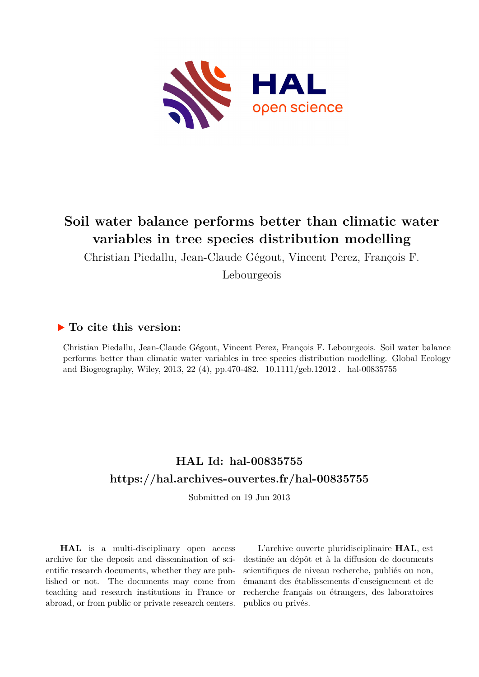

# **Soil water balance performs better than climatic water variables in tree species distribution modelling**

Christian Piedallu, Jean-Claude Gégout, Vincent Perez, François F.

Lebourgeois

## **To cite this version:**

Christian Piedallu, Jean-Claude Gégout, Vincent Perez, François F. Lebourgeois. Soil water balance performs better than climatic water variables in tree species distribution modelling. Global Ecology and Biogeography, Wiley, 2013, 22 (4), pp.470-482. 10.1111/geb.12012. hal-00835755

# **HAL Id: hal-00835755 <https://hal.archives-ouvertes.fr/hal-00835755>**

Submitted on 19 Jun 2013

**HAL** is a multi-disciplinary open access archive for the deposit and dissemination of scientific research documents, whether they are published or not. The documents may come from teaching and research institutions in France or abroad, or from public or private research centers.

L'archive ouverte pluridisciplinaire **HAL**, est destinée au dépôt et à la diffusion de documents scientifiques de niveau recherche, publiés ou non, émanant des établissements d'enseignement et de recherche français ou étrangers, des laboratoires publics ou privés.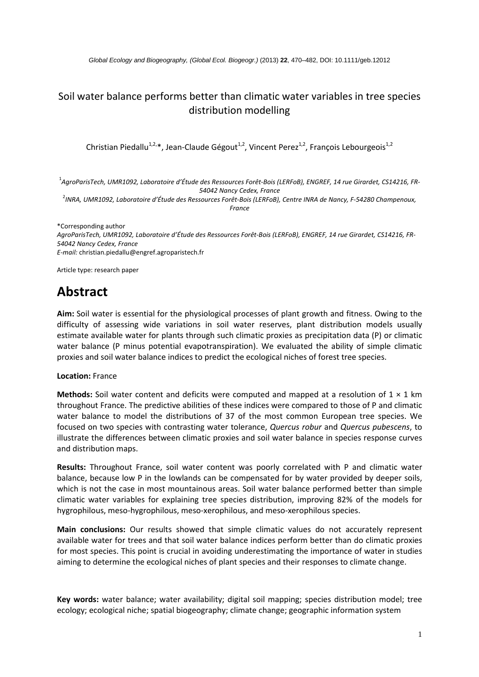## Soil water balance performs better than climatic water variables in tree species distribution modelling

Christian Piedallu<sup>1,2,\*</sup>, Jean-Claude Gégout<sup>1,2</sup>, Vincent Perez<sup>1,2</sup>, François Lebourgeois<sup>1,2</sup>

 $^1$ AgroParisTech, UMR1092, Laboratoire d'Étude des Ressources Forêt-Bois (LERFoB), ENGREF, 14 rue Girardet, CS14216, FR-54042 Nancy Cedex, France

<sup>2</sup>INRA, UMR1092, Laboratoire d'Étude des Ressources Forêt-Bois (LERFoB), Centre INRA de Nancy, F-54280 Champenoux, France

\*Corresponding author AgroParisTech, UMR1092, Laboratoire d'Étude des Ressources Forêt-Bois (LERFoB), ENGREF, 14 rue Girardet, CS14216, FR-54042 Nancy Cedex, France E-mail: christian.piedallu@engref.agroparistech.fr

Article type: research paper

# **Abstract**

Aim: Soil water is essential for the physiological processes of plant growth and fitness. Owing to the difficulty of assessing wide variations in soil water reserves, plant distribution models usually estimate available water for plants through such climatic proxies as precipitation data (P) or climatic water balance (P minus potential evapotranspiration). We evaluated the ability of simple climatic proxies and soil water balance indices to predict the ecological niches of forest tree species.

#### **Location: France**

**Methods:** Soil water content and deficits were computed and mapped at a resolution of  $1 \times 1$  km throughout France. The predictive abilities of these indices were compared to those of P and climatic water balance to model the distributions of 37 of the most common European tree species. We focused on two species with contrasting water tolerance, Quercus robur and Quercus pubescens, to illustrate the differences between climatic proxies and soil water balance in species response curves and distribution maps.

Results: Throughout France, soil water content was poorly correlated with P and climatic water balance, because low P in the lowlands can be compensated for by water provided by deeper soils, which is not the case in most mountainous areas. Soil water balance performed better than simple climatic water variables for explaining tree species distribution, improving 82% of the models for hygrophilous, meso-hygrophilous, meso-xerophilous, and meso-xerophilous species.

Main conclusions: Our results showed that simple climatic values do not accurately represent available water for trees and that soil water balance indices perform better than do climatic proxies for most species. This point is crucial in avoiding underestimating the importance of water in studies aiming to determine the ecological niches of plant species and their responses to climate change.

Key words: water balance; water availability; digital soil mapping; species distribution model; tree ecology; ecological niche; spatial biogeography; climate change; geographic information system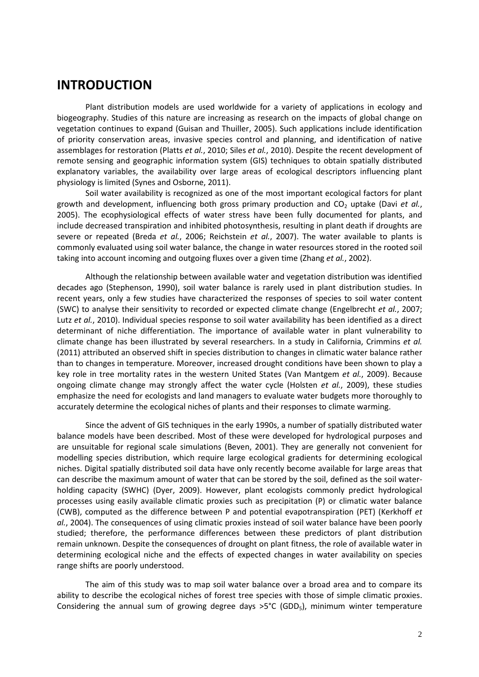## **INTRODUCTION**

Plant distribution models are used worldwide for a variety of applications in ecology and biogeography. Studies of this nature are increasing as research on the impacts of global change on vegetation continues to expand (Guisan and Thuiller, 2005). Such applications include identification of priority conservation areas, invasive species control and planning, and identification of native assemblages for restoration (Platts et al., 2010; Siles et al., 2010). Despite the recent development of remote sensing and geographic information system (GIS) techniques to obtain spatially distributed explanatory variables, the availability over large areas of ecological descriptors influencing plant physiology is limited (Synes and Osborne, 2011).

Soil water availability is recognized as one of the most important ecological factors for plant growth and development, influencing both gross primary production and CO<sub>2</sub> uptake (Davi et al., 2005). The ecophysiological effects of water stress have been fully documented for plants, and include decreased transpiration and inhibited photosynthesis, resulting in plant death if droughts are severe or repeated (Breda et al., 2006; Reichstein et al., 2007). The water available to plants is commonly evaluated using soil water balance, the change in water resources stored in the rooted soil taking into account incoming and outgoing fluxes over a given time (Zhang et al., 2002).

Although the relationship between available water and vegetation distribution was identified decades ago (Stephenson, 1990), soil water balance is rarely used in plant distribution studies. In recent years, only a few studies have characterized the responses of species to soil water content (SWC) to analyse their sensitivity to recorded or expected climate change (Engelbrecht et al., 2007; Lutz et al., 2010). Individual species response to soil water availability has been identified as a direct determinant of niche differentiation. The importance of available water in plant vulnerability to climate change has been illustrated by several researchers. In a study in California, Crimmins et al. (2011) attributed an observed shift in species distribution to changes in climatic water balance rather than to changes in temperature. Moreover, increased drought conditions have been shown to play a key role in tree mortality rates in the western United States (Van Mantgem et al., 2009). Because ongoing climate change may strongly affect the water cycle (Holsten et al., 2009), these studies emphasize the need for ecologists and land managers to evaluate water budgets more thoroughly to accurately determine the ecological niches of plants and their responses to climate warming.

Since the advent of GIS techniques in the early 1990s, a number of spatially distributed water balance models have been described. Most of these were developed for hydrological purposes and are unsuitable for regional scale simulations (Beven, 2001). They are generally not convenient for modelling species distribution, which require large ecological gradients for determining ecological niches. Digital spatially distributed soil data have only recently become available for large areas that can describe the maximum amount of water that can be stored by the soil, defined as the soil waterholding capacity (SWHC) (Dyer, 2009). However, plant ecologists commonly predict hydrological processes using easily available climatic proxies such as precipitation (P) or climatic water balance (CWB), computed as the difference between P and potential evapotranspiration (PET) (Kerkhoff et al., 2004). The consequences of using climatic proxies instead of soil water balance have been poorly studied; therefore, the performance differences between these predictors of plant distribution remain unknown. Despite the consequences of drought on plant fitness, the role of available water in determining ecological niche and the effects of expected changes in water availability on species range shifts are poorly understood.

The aim of this study was to map soil water balance over a broad area and to compare its ability to describe the ecological niches of forest tree species with those of simple climatic proxies. Considering the annual sum of growing degree days  $>5^{\circ}C$  (GDD<sub>5</sub>), minimum winter temperature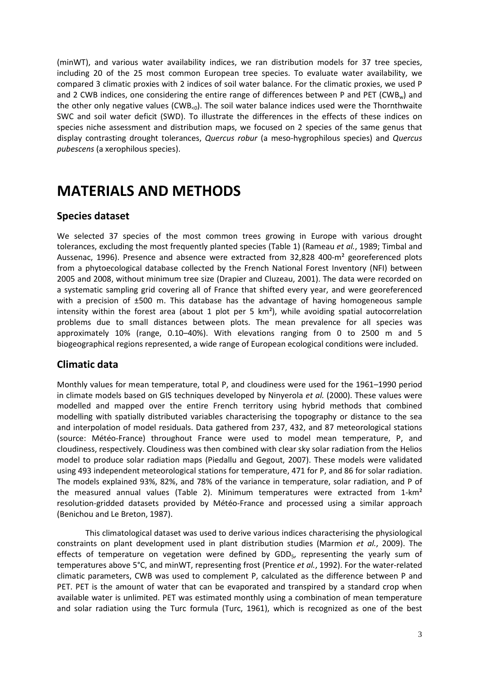(minWT), and various water availability indices, we ran distribution models for 37 tree species, including 20 of the 25 most common European tree species. To evaluate water availability, we compared 3 climatic proxies with 2 indices of soil water balance. For the climatic proxies, we used P and 2 CWB indices, one considering the entire range of differences between P and PET (CWB<sub>w</sub>) and the other only negative values (CWB<sub><0</sub>). The soil water balance indices used were the Thornthwaite SWC and soil water deficit (SWD). To illustrate the differences in the effects of these indices on species niche assessment and distribution maps, we focused on 2 species of the same genus that display contrasting drought tolerances, Quercus robur (a meso-hygrophilous species) and Quercus *pubescens* (a xerophilous species).

# **MATERIALS AND METHODS**

#### **Species dataset**

We selected 37 species of the most common trees growing in Europe with various drought tolerances, excluding the most frequently planted species (Table 1) (Rameau et al., 1989; Timbal and Aussenac, 1996). Presence and absence were extracted from 32,828 400-m<sup>2</sup> georeferenced plots from a phytoecological database collected by the French National Forest Inventory (NFI) between 2005 and 2008, without minimum tree size (Drapier and Cluzeau, 2001). The data were recorded on a systematic sampling grid covering all of France that shifted every year, and were georeferenced with a precision of ±500 m. This database has the advantage of having homogeneous sample intensity within the forest area (about 1 plot per 5 km<sup>2</sup>), while avoiding spatial autocorrelation problems due to small distances between plots. The mean prevalence for all species was approximately 10% (range, 0.10-40%). With elevations ranging from 0 to 2500 m and 5 biogeographical regions represented, a wide range of European ecological conditions were included.

#### **Climatic data**

Monthly values for mean temperature, total P, and cloudiness were used for the 1961–1990 period in climate models based on GIS techniques developed by Ninyerola et al. (2000). These values were modelled and mapped over the entire French territory using hybrid methods that combined modelling with spatially distributed variables characterising the topography or distance to the sea and interpolation of model residuals. Data gathered from 237, 432, and 87 meteorological stations (source: Météo-France) throughout France were used to model mean temperature, P, and cloudiness, respectively. Cloudiness was then combined with clear sky solar radiation from the Helios model to produce solar radiation maps (Piedallu and Gegout, 2007). These models were validated using 493 independent meteorological stations for temperature, 471 for P, and 86 for solar radiation. The models explained 93%, 82%, and 78% of the variance in temperature, solar radiation, and P of the measured annual values (Table 2). Minimum temperatures were extracted from 1-km<sup>2</sup> resolution-gridded datasets provided by Météo-France and processed using a similar approach (Benichou and Le Breton, 1987).

This climatological dataset was used to derive various indices characterising the physiological constraints on plant development used in plant distribution studies (Marmion et al., 2009). The effects of temperature on vegetation were defined by GDD<sub>5</sub>, representing the yearly sum of temperatures above 5°C, and minWT, representing frost (Prentice et al., 1992). For the water-related climatic parameters, CWB was used to complement P, calculated as the difference between P and PET. PET is the amount of water that can be evaporated and transpired by a standard crop when available water is unlimited. PET was estimated monthly using a combination of mean temperature and solar radiation using the Turc formula (Turc, 1961), which is recognized as one of the best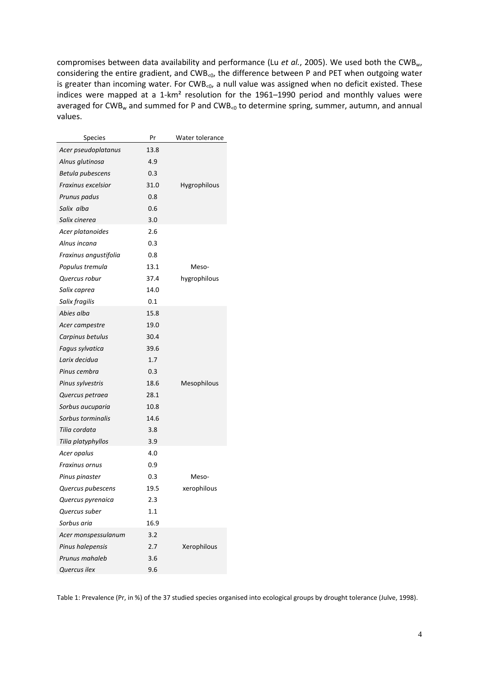compromises between data availability and performance (Lu et al., 2005). We used both the CWB<sub>w</sub>, considering the entire gradient, and CWB<0, the difference between P and PET when outgoing water is greater than incoming water. For CWB<0, a null value was assigned when no deficit existed. These indices were mapped at a 1-km<sup>2</sup> resolution for the 1961-1990 period and monthly values were averaged for CWB<sub>w</sub> and summed for P and CWB<sub><0</sub> to determine spring, summer, autumn, and annual values.

| <b>Species</b>        | Pr   | Water tolerance |
|-----------------------|------|-----------------|
| Acer pseudoplatanus   | 13.8 |                 |
| Alnus glutinosa       | 4.9  |                 |
| Betula pubescens      | 0.3  |                 |
| Fraxinus excelsior    | 31.0 | Hygrophilous    |
| Prunus padus          | 0.8  |                 |
| Salix alba            | 0.6  |                 |
| Salix cinerea         | 3.0  |                 |
| Acer platanoides      | 2.6  |                 |
| Alnus incana          | 0.3  |                 |
| Fraxinus angustifolia | 0.8  |                 |
| Populus tremula       | 13.1 | Meso-           |
| Quercus robur         | 37.4 | hygrophilous    |
| Salix caprea          | 14.0 |                 |
| Salix fragilis        | 0.1  |                 |
| Abies alba            | 15.8 |                 |
| Acer campestre        | 19.0 |                 |
| Carpinus betulus      | 30.4 |                 |
| Fagus sylvatica       | 39.6 |                 |
| Larix decidua         | 1.7  |                 |
| Pinus cembra          | 0.3  |                 |
| Pinus sylvestris      | 18.6 | Mesophilous     |
| Quercus petraea       | 28.1 |                 |
| Sorbus aucuparia      | 10.8 |                 |
| Sorbus torminalis     | 14.6 |                 |
| Tilia cordata         | 3.8  |                 |
| Tilia platyphyllos    | 3.9  |                 |
| Acer opalus           | 4.0  |                 |
| Fraxinus ornus        | 0.9  |                 |
| Pinus pinaster        | 0.3  | Meso-           |
| Quercus pubescens     | 19.5 | xerophilous     |
| Quercus pyrenaica     | 2.3  |                 |
| Quercus suber         | 1.1  |                 |
| Sorbus aria           | 16.9 |                 |
| Acer monspessulanum   | 3.2  |                 |
| Pinus halepensis      | 2.7  | Xerophilous     |
| Prunus mahaleb        | 3.6  |                 |
| Quercus ilex          | 9.6  |                 |

Table 1: Prevalence (Pr, in %) of the 37 studied species organised into ecological groups by drought tolerance (Julve, 1998).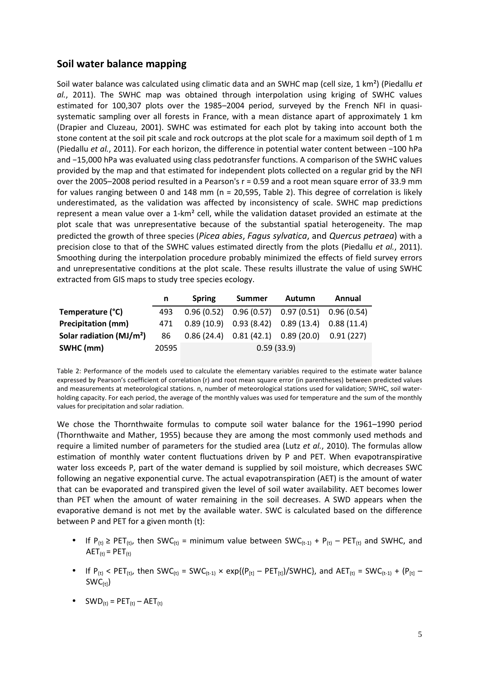#### Soil water balance mapping

Soil water balance was calculated using climatic data and an SWHC map (cell size, 1 km<sup>2</sup>) (Piedallu et al., 2011). The SWHC map was obtained through interpolation using kriging of SWHC values estimated for 100,307 plots over the 1985-2004 period, surveyed by the French NFI in quasisystematic sampling over all forests in France, with a mean distance apart of approximately 1 km (Drapier and Cluzeau, 2001). SWHC was estimated for each plot by taking into account both the stone content at the soil pit scale and rock outcrops at the plot scale for a maximum soil depth of 1 m (Piedallu et al., 2011). For each horizon, the difference in potential water content between -100 hPa and -15,000 hPa was evaluated using class pedotransfer functions. A comparison of the SWHC values provided by the map and that estimated for independent plots collected on a regular grid by the NFI over the 2005-2008 period resulted in a Pearson's  $r = 0.59$  and a root mean square error of 33.9 mm for values ranging between 0 and 148 mm (n = 20,595, Table 2). This degree of correlation is likely underestimated, as the validation was affected by inconsistency of scale. SWHC map predictions represent a mean value over a 1-km<sup>2</sup> cell, while the validation dataset provided an estimate at the plot scale that was unrepresentative because of the substantial spatial heterogeneity. The map predicted the growth of three species (Picea abies, Fagus sylvatica, and Quercus petraea) with a precision close to that of the SWHC values estimated directly from the plots (Piedallu et al., 2011). Smoothing during the interpolation procedure probably minimized the effects of field survey errors and unrepresentative conditions at the plot scale. These results illustrate the value of using SWHC extracted from GIS maps to study tree species ecology.

|                                      | n.    | <b>Spring</b> | <b>Summer</b>                                       | <b>Autumn</b> | Annual    |  |
|--------------------------------------|-------|---------------|-----------------------------------------------------|---------------|-----------|--|
| Temperature (°C)                     | 493   |               | $0.96(0.52)$ $0.96(0.57)$ $0.97(0.51)$ $0.96(0.54)$ |               |           |  |
| <b>Precipitation (mm)</b>            | 471   |               | $0.89(10.9)$ $0.93(8.42)$ $0.89(13.4)$ $0.88(11.4)$ |               |           |  |
| Solar radiation (MJ/m <sup>2</sup> ) | 86    |               | $0.86(24.4)$ $0.81(42.1)$ $0.89(20.0)$              |               | 0.91(227) |  |
| SWHC (mm)                            | 20595 | 0.59(33.9)    |                                                     |               |           |  |

Table 2: Performance of the models used to calculate the elementary variables required to the estimate water balance expressed by Pearson's coefficient of correlation (r) and root mean square error (in parentheses) between predicted values and measurements at meteorological stations. n, number of meteorological stations used for validation; SWHC, soil waterholding capacity. For each period, the average of the monthly values was used for temperature and the sum of the monthly values for precipitation and solar radiation.

We chose the Thornthwaite formulas to compute soil water balance for the 1961-1990 period (Thornthwaite and Mather, 1955) because they are among the most commonly used methods and require a limited number of parameters for the studied area (Lutz et al., 2010). The formulas allow estimation of monthly water content fluctuations driven by P and PET. When evapotranspirative water loss exceeds P, part of the water demand is supplied by soil moisture, which decreases SWC following an negative exponential curve. The actual evapotranspiration (AET) is the amount of water that can be evaporated and transpired given the level of soil water availability. AET becomes lower than PET when the amount of water remaining in the soil decreases. A SWD appears when the evaporative demand is not met by the available water. SWC is calculated based on the difference between P and PET for a given month (t):

- If  $P_{(t)} \geq PET_{(t)}$ , then SWC<sub>(t)</sub> = minimum value between SWC<sub>(t-1)</sub> +  $P_{(t)} PET_{(t)}$  and SWHC, and  $AET_{(t)} = PET_{(t)}$
- If  $P_{(t)} < PET_{(t)}$ , then SWC<sub>(t)</sub> = SWC<sub>(t-1)</sub> × exp{ $(P_{[t]} PET_{[t]})$ /SWHC}, and AET<sub>(t)</sub> = SWC<sub>(t-1)</sub> +  $(P_{[t]} PET_{[t]})$  $SWC<sub>[+1</sub>]$
- $SWD_{(t)} = PET_{(t)} AET_{(t)}$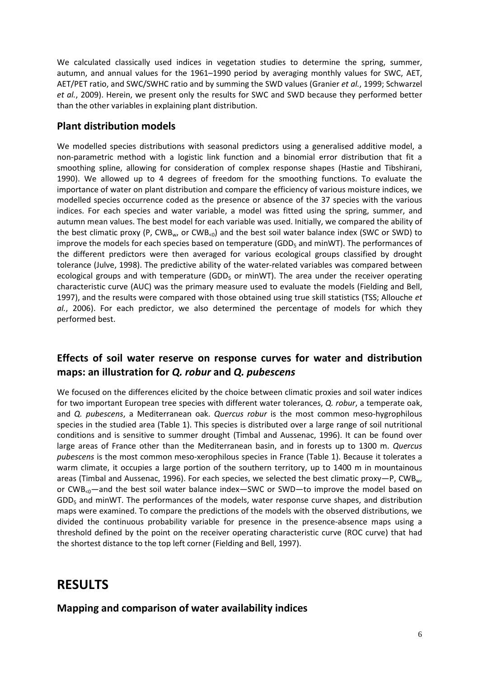We calculated classically used indices in vegetation studies to determine the spring, summer, autumn, and annual values for the 1961-1990 period by averaging monthly values for SWC, AET, AET/PET ratio, and SWC/SWHC ratio and by summing the SWD values (Granier et al., 1999; Schwarzel et al., 2009). Herein, we present only the results for SWC and SWD because they performed better than the other variables in explaining plant distribution.

### **Plant distribution models**

We modelled species distributions with seasonal predictors using a generalised additive model, a non-parametric method with a logistic link function and a binomial error distribution that fit a smoothing spline, allowing for consideration of complex response shapes (Hastie and Tibshirani, 1990). We allowed up to 4 degrees of freedom for the smoothing functions. To evaluate the importance of water on plant distribution and compare the efficiency of various moisture indices, we modelled species occurrence coded as the presence or absence of the 37 species with the various indices. For each species and water variable, a model was fitted using the spring, summer, and autumn mean values. The best model for each variable was used. Initially, we compared the ability of the best climatic proxy (P,  $CWB_{w}$ , or  $CWB_{<sub>0</sub>}$ ) and the best soil water balance index (SWC or SWD) to improve the models for each species based on temperature (GDD $<sub>5</sub>$  and minWT). The performances of</sub> the different predictors were then averaged for various ecological groups classified by drought tolerance (Julve, 1998). The predictive ability of the water-related variables was compared between ecological groups and with temperature (GDD<sub>5</sub> or minWT). The area under the receiver operating characteristic curve (AUC) was the primary measure used to evaluate the models (Fielding and Bell, 1997), and the results were compared with those obtained using true skill statistics (TSS; Allouche et al., 2006). For each predictor, we also determined the percentage of models for which they performed best.

## Effects of soil water reserve on response curves for water and distribution maps: an illustration for Q. robur and Q. pubescens

We focused on the differences elicited by the choice between climatic proxies and soil water indices for two important European tree species with different water tolerances, Q. robur, a temperate oak, and Q. pubescens, a Mediterranean oak. Quercus robur is the most common meso-hygrophilous species in the studied area (Table 1). This species is distributed over a large range of soil nutritional conditions and is sensitive to summer drought (Timbal and Aussenac, 1996). It can be found over large areas of France other than the Mediterranean basin, and in forests up to 1300 m. Quercus pubescens is the most common meso-xerophilous species in France (Table 1). Because it tolerates a warm climate, it occupies a large portion of the southern territory, up to 1400 m in mountainous areas (Timbal and Aussenac, 1996). For each species, we selected the best climatic proxy-P, CWB<sub>w</sub>, or  $CWB_{c0}$ —and the best soil water balance index—SWC or SWD—to improve the model based on  $GDD<sub>5</sub>$  and minWT. The performances of the models, water response curve shapes, and distribution maps were examined. To compare the predictions of the models with the observed distributions, we divided the continuous probability variable for presence in the presence-absence maps using a threshold defined by the point on the receiver operating characteristic curve (ROC curve) that had the shortest distance to the top left corner (Fielding and Bell, 1997).

## **RESULTS**

Mapping and comparison of water availability indices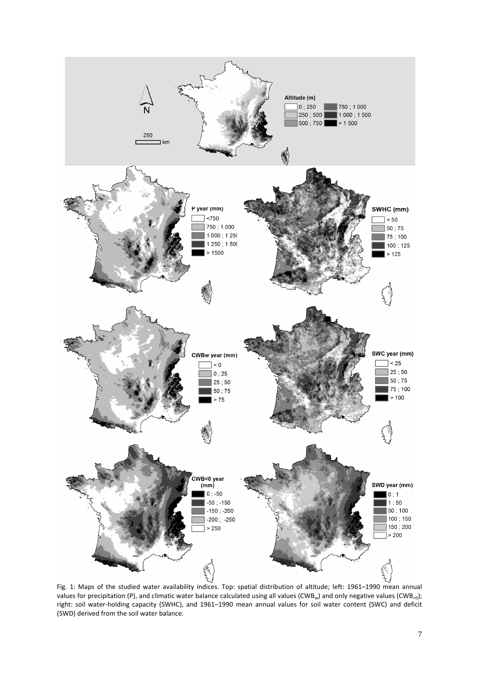

Fig. 1: Maps of the studied water availability indices. Top: spatial distribution of altitude; left: 1961-1990 mean annual values for precipitation (P), and climatic water balance calculated using all values (CWB<sub>w</sub>) and only negative values (CWB<sub>c0</sub>); right: soil water-holding capacity (SWHC), and 1961-1990 mean annual values for soil water content (SWC) and deficit (SWD) derived from the soil water balance.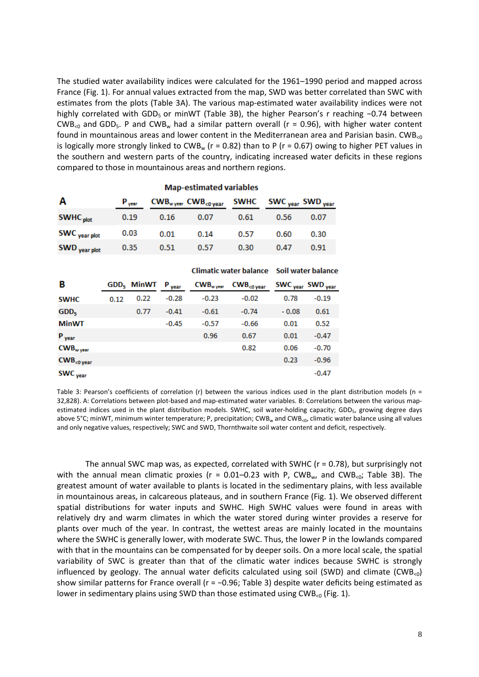The studied water availability indices were calculated for the 1961–1990 period and mapped across France (Fig. 1). For annual values extracted from the map, SWD was better correlated than SWC with estimates from the plots (Table 3A). The various map-estimated water availability indices were not highly correlated with GDD<sub>5</sub> or minWT (Table 3B), the higher Pearson's r reaching -0.74 between CWB<sub><0</sub> and GDD<sub>5</sub>. P and CWB<sub>w</sub> had a similar pattern overall ( $r = 0.96$ ), with higher water content found in mountainous areas and lower content in the Mediterranean area and Parisian basin. CWB<sub><0</sub> is logically more strongly linked to CWB<sub>w</sub> ( $r = 0.82$ ) than to P ( $r = 0.67$ ) owing to higher PET values in the southern and western parts of the country, indicating increased water deficits in these regions compared to those in mountainous areas and northern regions.

|                      |                   |      | <b>Map-estimated variables</b>       |      |                                              |      |
|----------------------|-------------------|------|--------------------------------------|------|----------------------------------------------|------|
| Α                    | $P_{\text{year}}$ |      | $CWB_{w \, year}$ $CWB_{<0 \, year}$ |      | SWHC SWC <sub>year</sub> SWD <sub>year</sub> |      |
| SWHC <sub>plot</sub> | 0.19              | 0.16 | 0.07                                 | 0.61 | 0.56                                         | 0.07 |
| SWC year plot        | 0.03              | 0.01 | 0.14                                 | 0.57 | 0.60                                         | 0.30 |
| <b>SWD</b> vear plot | 0.35              | 0.51 | 0.57                                 | 0.30 | 0.47                                         | 0.91 |

|                             |      |                        |                   | Climatic water balance Soil water balance |                             |                     |                     |  |
|-----------------------------|------|------------------------|-------------------|-------------------------------------------|-----------------------------|---------------------|---------------------|--|
| в                           |      | GDD <sub>5</sub> MinWT | $P_{\text{year}}$ | $CWB_{w \, year}$                         | $CWB$ <sub>&lt;0 year</sub> | SWC <sub>year</sub> | SWD <sub>year</sub> |  |
| <b>SWHC</b>                 | 0.12 | 0.22                   | $-0.28$           | $-0.23$                                   | $-0.02$                     | 0.78                | $-0.19$             |  |
| GDD <sub>5</sub>            |      | 0.77                   | $-0.41$           | $-0.61$                                   | $-0.74$                     | $-0.08$             | 0.61                |  |
| <b>MinWT</b>                |      |                        | $-0.45$           | $-0.57$                                   | $-0.66$                     | 0.01                | 0.52                |  |
| P <sub>year</sub>           |      |                        |                   | 0.96                                      | 0.67                        | 0.01                | $-0.47$             |  |
| $CWBw$ year                 |      |                        |                   |                                           | 0.82                        | 0.06                | $-0.70$             |  |
| $CWB$ <sub>&lt;0 year</sub> |      |                        |                   |                                           |                             | 0.23                | $-0.96$             |  |
| SWC <sub>year</sub>         |      |                        |                   |                                           |                             |                     | $-0.47$             |  |

Table 3: Pearson's coefficients of correlation (r) between the various indices used in the plant distribution models ( $n =$ 32,828). A: Correlations between plot-based and map-estimated water variables. B: Correlations between the various mapestimated indices used in the plant distribution models. SWHC, soil water-holding capacity; GDD<sub>5</sub>, growing degree days above 5°C; minWT, minimum winter temperature; P, precipitation; CWB<sub>w</sub> and CWB<sub>K0</sub>, climatic water balance using all values and only negative values, respectively; SWC and SWD, Thornthwaite soil water content and deficit, respectively.

The annual SWC map was, as expected, correlated with SWHC ( $r = 0.78$ ), but surprisingly not with the annual mean climatic proxies ( $r = 0.01 - 0.23$  with P, CWB<sub>w</sub>, and CWB<sub>s0</sub>; Table 3B). The greatest amount of water available to plants is located in the sedimentary plains, with less available in mountainous areas, in calcareous plateaus, and in southern France (Fig. 1). We observed different spatial distributions for water inputs and SWHC. High SWHC values were found in areas with relatively dry and warm climates in which the water stored during winter provides a reserve for plants over much of the year. In contrast, the wettest areas are mainly located in the mountains where the SWHC is generally lower, with moderate SWC. Thus, the lower P in the lowlands compared with that in the mountains can be compensated for by deeper soils. On a more local scale, the spatial variability of SWC is greater than that of the climatic water indices because SWHC is strongly influenced by geology. The annual water deficits calculated using soil (SWD) and climate (CWB<sub><0</sub>) show similar patterns for France overall ( $r = -0.96$ ; Table 3) despite water deficits being estimated as lower in sedimentary plains using SWD than those estimated using CWB<sub><0</sub> (Fig. 1).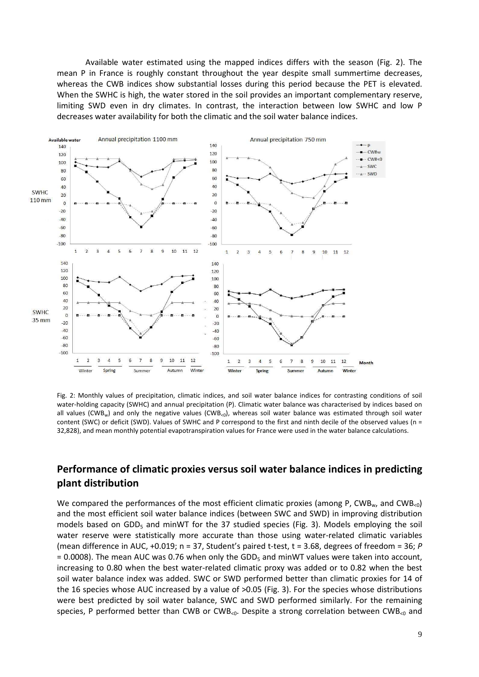Available water estimated using the mapped indices differs with the season (Fig. 2). The mean P in France is roughly constant throughout the year despite small summertime decreases, whereas the CWB indices show substantial losses during this period because the PET is elevated. When the SWHC is high, the water stored in the soil provides an important complementary reserve, limiting SWD even in dry climates. In contrast, the interaction between low SWHC and low P decreases water availability for both the climatic and the soil water balance indices.



Fig. 2: Monthly values of precipitation, climatic indices, and soil water balance indices for contrasting conditions of soil water-holding capacity (SWHC) and annual precipitation (P). Climatic water balance was characterised by indices based on all values (CWB<sub>w</sub>) and only the negative values (CWB<sub><0</sub>), whereas soil water balance was estimated through soil water content (SWC) or deficit (SWD). Values of SWHC and P correspond to the first and ninth decile of the observed values (n = 32,828), and mean monthly potential evapotranspiration values for France were used in the water balance calculations.

### Performance of climatic proxies versus soil water balance indices in predicting plant distribution

We compared the performances of the most efficient climatic proxies (among P, CWB<sub>w</sub>, and CWB<sub>50</sub>) and the most efficient soil water balance indices (between SWC and SWD) in improving distribution models based on GDD<sub>5</sub> and minWT for the 37 studied species (Fig. 3). Models employing the soil water reserve were statistically more accurate than those using water-related climatic variables (mean difference in AUC, +0.019;  $n = 37$ , Student's paired t-test,  $t = 3.68$ , degrees of freedom = 36; P = 0.0008). The mean AUC was 0.76 when only the GDD<sub>5</sub> and minWT values were taken into account, increasing to 0.80 when the best water-related climatic proxy was added or to 0.82 when the best soil water balance index was added. SWC or SWD performed better than climatic proxies for 14 of the 16 species whose AUC increased by a value of >0.05 (Fig. 3). For the species whose distributions were best predicted by soil water balance, SWC and SWD performed similarly. For the remaining species, P performed better than CWB or CWB<sub>s0</sub>. Despite a strong correlation between CWB<sub>s0</sub> and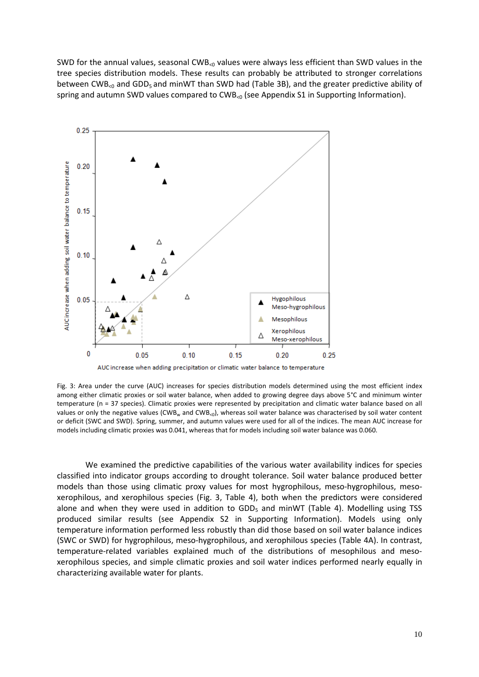SWD for the annual values, seasonal CWB<sub><0</sub> values were always less efficient than SWD values in the tree species distribution models. These results can probably be attributed to stronger correlations between CWB<sub>s0</sub> and GDD<sub>5</sub> and minWT than SWD had (Table 3B), and the greater predictive ability of spring and autumn SWD values compared to  $CWB_{<sub>0</sub>}$  (see Appendix S1 in Supporting Information).



AUC increase when adding precipitation or climatic water balance to temperature

Fig. 3: Area under the curve (AUC) increases for species distribution models determined using the most efficient index among either climatic proxies or soil water balance, when added to growing degree days above 5°C and minimum winter temperature (n = 37 species). Climatic proxies were represented by precipitation and climatic water balance based on all values or only the negative values (CWB<sub>w</sub> and CWB<sub>s0</sub>), whereas soil water balance was characterised by soil water content or deficit (SWC and SWD). Spring, summer, and autumn values were used for all of the indices. The mean AUC increase for models including climatic proxies was 0.041, whereas that for models including soil water balance was 0.060.

We examined the predictive capabilities of the various water availability indices for species classified into indicator groups according to drought tolerance. Soil water balance produced better models than those using climatic proxy values for most hygrophilous, meso-hygrophilous, mesoxerophilous, and xerophilous species (Fig. 3, Table 4), both when the predictors were considered alone and when they were used in addition to GDD<sub>5</sub> and minWT (Table 4). Modelling using TSS produced similar results (see Appendix S2 in Supporting Information). Models using only temperature information performed less robustly than did those based on soil water balance indices (SWC or SWD) for hygrophilous, meso-hygrophilous, and xerophilous species (Table 4A). In contrast, temperature-related variables explained much of the distributions of mesophilous and mesoxerophilous species, and simple climatic proxies and soil water indices performed nearly equally in characterizing available water for plants.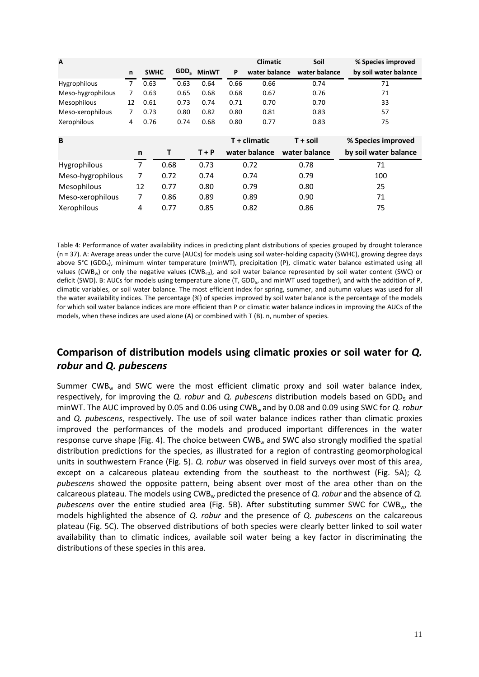| A                  |    |             |                  |              |      | <b>Climatic</b> | Soil          | % Species improved    |
|--------------------|----|-------------|------------------|--------------|------|-----------------|---------------|-----------------------|
|                    | n  | <b>SWHC</b> | GDD <sub>5</sub> | <b>MinWT</b> | P    | water balance   | water balance | by soil water balance |
| Hygrophilous       | 7  | 0.63        | 0.63             | 0.64         | 0.66 | 0.66            | 0.74          | 71                    |
| Meso-hygrophilous  | 7  | 0.63        | 0.65             | 0.68         | 0.68 | 0.67            | 0.76          | 71                    |
| Mesophilous        | 12 | 0.61        | 0.73             | 0.74         | 0.71 | 0.70            | 0.70          | 33                    |
| Meso-xerophilous   | 7  | 0.73        | 0.80             | 0.82         | 0.80 | 0.81            | 0.83          | 57                    |
| Xerophilous        | 4  | 0.76        | 0.74             | 0.68         | 0.80 | 0.77            | 0.83          | 75                    |
|                    |    |             |                  |              |      |                 |               |                       |
| B                  |    |             |                  |              |      | T + climatic    | T + soil      | % Species improved    |
|                    |    | n           | т                | $T + P$      |      | water balance   | water balance | by soil water balance |
| Hygrophilous       |    | 7           | 0.68             | 0.73         |      | 0.72            | 0.78          | 71                    |
| Meso-hygrophilous  |    | 7           | 0.72             | 0.74         |      | 0.74            | 0.79          | 100                   |
| <b>Mesophilous</b> |    | 12          | 0.77             | 0.80         |      | 0.79            | 0.80          | 25                    |
| Meso-xerophilous   |    | 7           | 0.86             | 0.89         |      | 0.89            | 0.90          | 71                    |
| Xerophilous        |    | 4           | 0.77             | 0.85         |      | 0.82            | 0.86          | 75                    |

Table 4: Performance of water availability indices in predicting plant distributions of species grouped by drought tolerance (n = 37). A: Average areas under the curve (AUCs) for models using soil water-holding capacity (SWHC), growing degree days above 5°C (GDD<sub>5</sub>), minimum winter temperature (minWT), precipitation (P), climatic water balance estimated using all values (CWB<sub>w</sub>) or only the negative values (CWB<sub><0</sub>), and soil water balance represented by soil water content (SWC) or deficit (SWD). B: AUCs for models using temperature alone (T, GDD<sub>5</sub>, and minWT used together), and with the addition of P, climatic variables, or soil water balance. The most efficient index for spring, summer, and autumn values was used for all the water availability indices. The percentage (%) of species improved by soil water balance is the percentage of the models for which soil water balance indices are more efficient than P or climatic water balance indices in improving the AUCs of the models, when these indices are used alone (A) or combined with  $T(B)$ . n, number of species.

## Comparison of distribution models using climatic proxies or soil water for Q. robur and Q. pubescens

Summer  $CWB<sub>w</sub>$  and SWC were the most efficient climatic proxy and soil water balance index, respectively, for improving the Q. robur and Q. pubescens distribution models based on GDD<sub>5</sub> and minWT. The AUC improved by 0.05 and 0.06 using CWB<sub>w</sub> and by 0.08 and 0.09 using SWC for Q. robur and Q. pubescens, respectively. The use of soil water balance indices rather than climatic proxies improved the performances of the models and produced important differences in the water response curve shape (Fig. 4). The choice between  $CWB<sub>w</sub>$  and SWC also strongly modified the spatial distribution predictions for the species, as illustrated for a region of contrasting geomorphological units in southwestern France (Fig. 5). Q. robur was observed in field surveys over most of this area, except on a calcareous plateau extending from the southeast to the northwest (Fig. 5A); Q. pubescens showed the opposite pattern, being absent over most of the area other than on the calcareous plateau. The models using CWB<sub>w</sub> predicted the presence of Q. *robur* and the absence of Q. pubescens over the entire studied area (Fig. 5B). After substituting summer SWC for CWB<sub>w</sub>, the models highlighted the absence of Q. robur and the presence of Q. pubescens on the calcareous plateau (Fig. 5C). The observed distributions of both species were clearly better linked to soil water availability than to climatic indices, available soil water being a key factor in discriminating the distributions of these species in this area.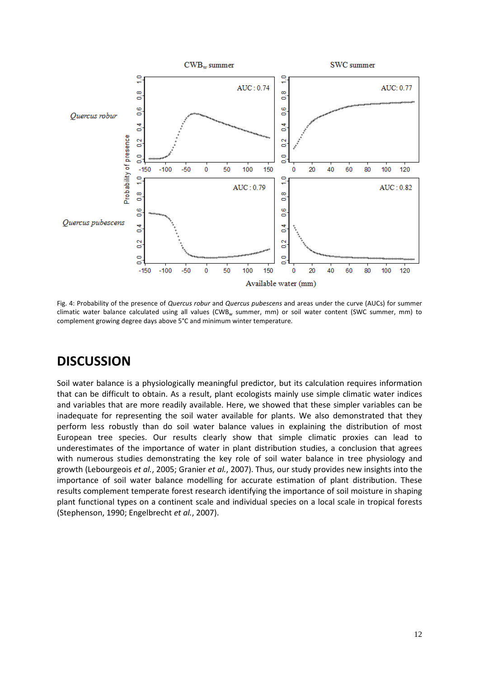

Fig. 4: Probability of the presence of Quercus robur and Quercus pubescens and areas under the curve (AUCs) for summer climatic water balance calculated using all values (CWB<sub>w</sub> summer, mm) or soil water content (SWC summer, mm) to complement growing degree days above 5°C and minimum winter temperature.

## **DISCUSSION**

Soil water balance is a physiologically meaningful predictor, but its calculation requires information that can be difficult to obtain. As a result, plant ecologists mainly use simple climatic water indices and variables that are more readily available. Here, we showed that these simpler variables can be inadequate for representing the soil water available for plants. We also demonstrated that they perform less robustly than do soil water balance values in explaining the distribution of most European tree species. Our results clearly show that simple climatic proxies can lead to underestimates of the importance of water in plant distribution studies, a conclusion that agrees with numerous studies demonstrating the key role of soil water balance in tree physiology and growth (Lebourgeois et al., 2005; Granier et al., 2007). Thus, our study provides new insights into the importance of soil water balance modelling for accurate estimation of plant distribution. These results complement temperate forest research identifying the importance of soil moisture in shaping plant functional types on a continent scale and individual species on a local scale in tropical forests (Stephenson, 1990; Engelbrecht et al., 2007).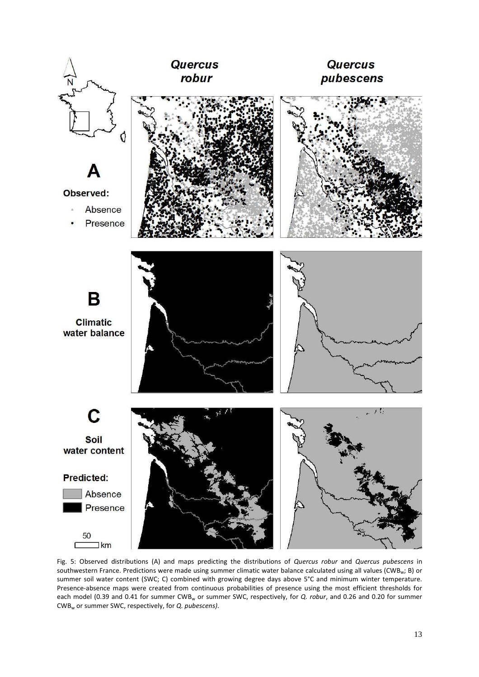

Fig. 5: Observed distributions (A) and maps predicting the distributions of Quercus robur and Quercus pubescens in southwestern France. Predictions were made using summer climatic water balance calculated using all values (CWB<sub>w</sub>; B) or summer soil water content (SWC; C) combined with growing degree days above 5°C and minimum winter temperature. Presence-absence maps were created from continuous probabilities of presence using the most efficient thresholds for each model (0.39 and 0.41 for summer CWB<sub>w</sub> or summer SWC, respectively, for Q. robur, and 0.26 and 0.20 for summer CWB<sub>w</sub> or summer SWC, respectively, for Q. pubescens).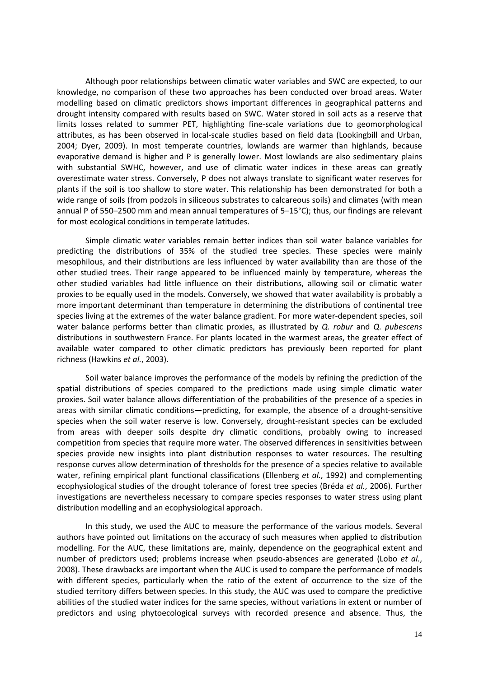Although poor relationships between climatic water variables and SWC are expected, to our knowledge, no comparison of these two approaches has been conducted over broad areas. Water modelling based on climatic predictors shows important differences in geographical patterns and drought intensity compared with results based on SWC. Water stored in soil acts as a reserve that limits losses related to summer PET, highlighting fine-scale variations due to geomorphological attributes, as has been observed in local-scale studies based on field data (Lookingbill and Urban, 2004; Dyer, 2009). In most temperate countries, lowlands are warmer than highlands, because evaporative demand is higher and P is generally lower. Most lowlands are also sedimentary plains with substantial SWHC, however, and use of climatic water indices in these areas can greatly overestimate water stress. Conversely, P does not always translate to significant water reserves for plants if the soil is too shallow to store water. This relationship has been demonstrated for both a wide range of soils (from podzols in siliceous substrates to calcareous soils) and climates (with mean annual P of 550-2500 mm and mean annual temperatures of 5-15°C); thus, our findings are relevant for most ecological conditions in temperate latitudes.

Simple climatic water variables remain better indices than soil water balance variables for predicting the distributions of 35% of the studied tree species. These species were mainly mesophilous, and their distributions are less influenced by water availability than are those of the other studied trees. Their range appeared to be influenced mainly by temperature, whereas the other studied variables had little influence on their distributions, allowing soil or climatic water proxies to be equally used in the models. Conversely, we showed that water availability is probably a more important determinant than temperature in determining the distributions of continental tree species living at the extremes of the water balance gradient. For more water-dependent species, soil water balance performs better than climatic proxies, as illustrated by Q. robur and Q. pubescens distributions in southwestern France. For plants located in the warmest areas, the greater effect of available water compared to other climatic predictors has previously been reported for plant richness (Hawkins et al., 2003).

Soil water balance improves the performance of the models by refining the prediction of the spatial distributions of species compared to the predictions made using simple climatic water proxies. Soil water balance allows differentiation of the probabilities of the presence of a species in areas with similar climatic conditions—predicting, for example, the absence of a drought-sensitive species when the soil water reserve is low. Conversely, drought-resistant species can be excluded from areas with deeper soils despite dry climatic conditions, probably owing to increased competition from species that require more water. The observed differences in sensitivities between species provide new insights into plant distribution responses to water resources. The resulting response curves allow determination of thresholds for the presence of a species relative to available water, refining empirical plant functional classifications (Ellenberg et al., 1992) and complementing ecophysiological studies of the drought tolerance of forest tree species (Bréda et al., 2006). Further investigations are nevertheless necessary to compare species responses to water stress using plant distribution modelling and an ecophysiological approach.

In this study, we used the AUC to measure the performance of the various models. Several authors have pointed out limitations on the accuracy of such measures when applied to distribution modelling. For the AUC, these limitations are, mainly, dependence on the geographical extent and number of predictors used; problems increase when pseudo-absences are generated (Lobo et al., 2008). These drawbacks are important when the AUC is used to compare the performance of models with different species, particularly when the ratio of the extent of occurrence to the size of the studied territory differs between species. In this study, the AUC was used to compare the predictive abilities of the studied water indices for the same species, without variations in extent or number of predictors and using phytoecological surveys with recorded presence and absence. Thus, the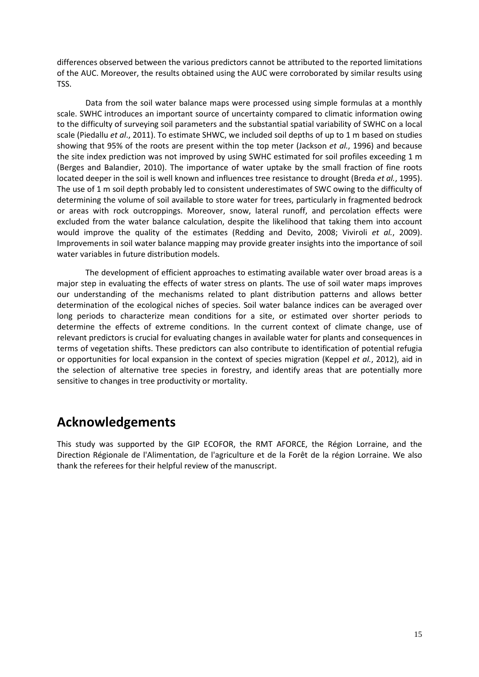differences observed between the various predictors cannot be attributed to the reported limitations of the AUC. Moreover, the results obtained using the AUC were corroborated by similar results using TSS.

Data from the soil water balance maps were processed using simple formulas at a monthly scale. SWHC introduces an important source of uncertainty compared to climatic information owing to the difficulty of surveying soil parameters and the substantial spatial variability of SWHC on a local scale (Piedallu et al., 2011). To estimate SHWC, we included soil depths of up to 1 m based on studies showing that 95% of the roots are present within the top meter (Jackson et al., 1996) and because the site index prediction was not improved by using SWHC estimated for soil profiles exceeding 1 m (Berges and Balandier, 2010). The importance of water uptake by the small fraction of fine roots located deeper in the soil is well known and influences tree resistance to drought (Breda et al., 1995). The use of 1 m soil depth probably led to consistent underestimates of SWC owing to the difficulty of determining the volume of soil available to store water for trees, particularly in fragmented bedrock or areas with rock outcroppings. Moreover, snow, lateral runoff, and percolation effects were excluded from the water balance calculation, despite the likelihood that taking them into account would improve the quality of the estimates (Redding and Devito, 2008; Viviroli et al., 2009). Improvements in soil water balance mapping may provide greater insights into the importance of soil water variables in future distribution models.

The development of efficient approaches to estimating available water over broad areas is a major step in evaluating the effects of water stress on plants. The use of soil water maps improves our understanding of the mechanisms related to plant distribution patterns and allows better determination of the ecological niches of species. Soil water balance indices can be averaged over long periods to characterize mean conditions for a site, or estimated over shorter periods to determine the effects of extreme conditions. In the current context of climate change, use of relevant predictors is crucial for evaluating changes in available water for plants and consequences in terms of vegetation shifts. These predictors can also contribute to identification of potential refugia or opportunities for local expansion in the context of species migration (Keppel et al., 2012), aid in the selection of alternative tree species in forestry, and identify areas that are potentially more sensitive to changes in tree productivity or mortality.

# **Acknowledgements**

This study was supported by the GIP ECOFOR, the RMT AFORCE, the Région Lorraine, and the Direction Régionale de l'Alimentation, de l'agriculture et de la Forêt de la région Lorraine. We also thank the referees for their helpful review of the manuscript.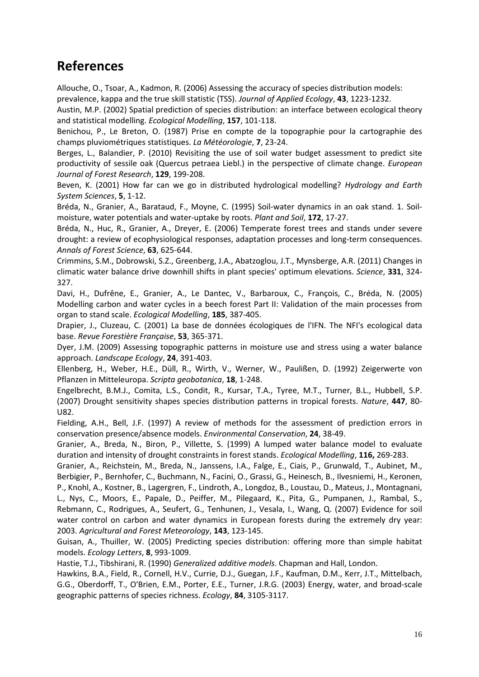# **References**

Allouche, O., Tsoar, A., Kadmon, R. (2006) Assessing the accuracy of species distribution models: prevalence, kappa and the true skill statistic (TSS). Journal of Applied Ecology, 43, 1223-1232.

Austin, M.P. (2002) Spatial prediction of species distribution: an interface between ecological theory and statistical modelling. Ecological Modelling, 157, 101-118.

Benichou, P., Le Breton, O. (1987) Prise en compte de la topographie pour la cartographie des champs pluviométriques statistiques. La Météorologie, 7, 23-24.

Berges, L., Balandier, P. (2010) Revisiting the use of soil water budget assessment to predict site productivity of sessile oak (Quercus petraea Liebl.) in the perspective of climate change. *European* Journal of Forest Research, 129, 199-208.

Beven, K. (2001) How far can we go in distributed hydrological modelling? Hydrology and Earth System Sciences, 5, 1-12.

Bréda, N., Granier, A., Barataud, F., Moyne, C. (1995) Soil-water dynamics in an oak stand. 1. Soilmoisture, water potentials and water-uptake by roots. Plant and Soil, 172, 17-27.

Bréda, N., Huc, R., Granier, A., Dreyer, E. (2006) Temperate forest trees and stands under severe drought: a review of ecophysiological responses, adaptation processes and long-term consequences. Annals of Forest Science, 63, 625-644.

Crimmins, S.M., Dobrowski, S.Z., Greenberg, J.A., Abatzoglou, J.T., Mynsberge, A.R. (2011) Changes in climatic water balance drive downhill shifts in plant species' optimum elevations. Science, 331, 324-327.

Davi, H., Dufrêne, E., Granier, A., Le Dantec, V., Barbaroux, C., François, C., Bréda, N. (2005) Modelling carbon and water cycles in a beech forest Part II: Validation of the main processes from organ to stand scale. Ecological Modelling, 185, 387-405.

Drapier, J., Cluzeau, C. (2001) La base de données écologiques de l'IFN. The NFI's ecological data base. Revue Forestière Française, 53, 365-371.

Dyer, J.M. (2009) Assessing topographic patterns in moisture use and stress using a water balance approach. Landscape Ecology, 24, 391-403.

Ellenberg, H., Weber, H.E., Düll, R., Wirth, V., Werner, W., Paulißen, D. (1992) Zeigerwerte von Pflanzen in Mitteleuropa. Scripta geobotanica, 18, 1-248.

Engelbrecht, B.M.J., Comita, L.S., Condit, R., Kursar, T.A., Tyree, M.T., Turner, B.L., Hubbell, S.P. (2007) Drought sensitivity shapes species distribution patterns in tropical forests. Nature, 447, 80-U82.

Fielding, A.H., Bell, J.F. (1997) A review of methods for the assessment of prediction errors in conservation presence/absence models. Environmental Conservation, 24, 38-49.

Granier, A., Breda, N., Biron, P., Villette, S. (1999) A lumped water balance model to evaluate duration and intensity of drought constraints in forest stands. Ecological Modelling, 116, 269-283.

Granier, A., Reichstein, M., Breda, N., Janssens, I.A., Falge, E., Ciais, P., Grunwald, T., Aubinet, M., Berbigier, P., Bernhofer, C., Buchmann, N., Facini, O., Grassi, G., Heinesch, B., Ilvesniemi, H., Keronen, P., Knohl, A., Kostner, B., Lagergren, F., Lindroth, A., Longdoz, B., Loustau, D., Mateus, J., Montagnani, L., Nys, C., Moors, E., Papale, D., Peiffer, M., Pilegaard, K., Pita, G., Pumpanen, J., Rambal, S., Rebmann, C., Rodrigues, A., Seufert, G., Tenhunen, J., Vesala, I., Wang, Q. (2007) Evidence for soil water control on carbon and water dynamics in European forests during the extremely dry year: 2003. Agricultural and Forest Meteorology, 143, 123-145.

Guisan, A., Thuiller, W. (2005) Predicting species distribution: offering more than simple habitat models. Ecology Letters, 8, 993-1009.

Hastie, T.J., Tibshirani, R. (1990) Generalized additive models. Chapman and Hall, London.

Hawkins, B.A., Field, R., Cornell, H.V., Currie, D.J., Guegan, J.F., Kaufman, D.M., Kerr, J.T., Mittelbach, G.G., Oberdorff, T., O'Brien, E.M., Porter, E.E., Turner, J.R.G. (2003) Energy, water, and broad-scale geographic patterns of species richness. Ecology, 84, 3105-3117.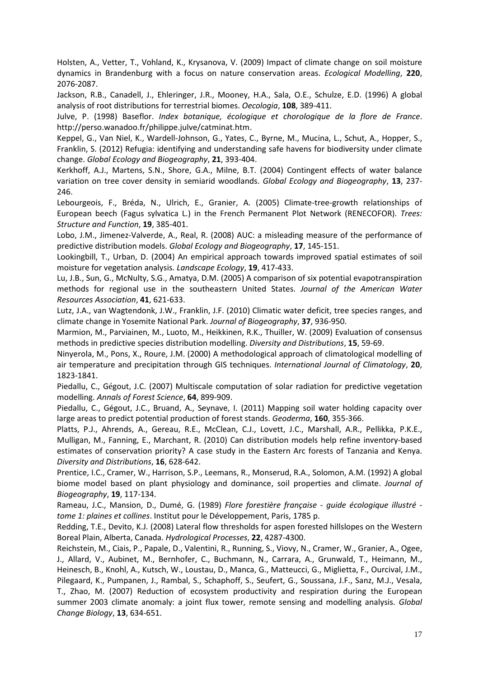Holsten, A., Vetter, T., Vohland, K., Krysanova, V. (2009) Impact of climate change on soil moisture dynamics in Brandenburg with a focus on nature conservation areas. Ecological Modelling, 220, 2076-2087.

Jackson, R.B., Canadell, J., Ehleringer, J.R., Mooney, H.A., Sala, O.E., Schulze, E.D. (1996) A global analysis of root distributions for terrestrial biomes. Oecologia, 108, 389-411.

Julve, P. (1998) Baseflor. Index botanique, écologique et chorologique de la flore de France. http://perso.wanadoo.fr/philippe.julve/catminat.htm.

Keppel, G., Van Niel, K., Wardell-Johnson, G., Yates, C., Byrne, M., Mucina, L., Schut, A., Hopper, S., Franklin, S. (2012) Refugia: identifying and understanding safe havens for biodiversity under climate change. Global Ecology and Biogeography, 21, 393-404.

Kerkhoff, A.J., Martens, S.N., Shore, G.A., Milne, B.T. (2004) Contingent effects of water balance variation on tree cover density in semiarid woodlands. Global Ecology and Biogeography, 13, 237-246.

Lebourgeois, F., Bréda, N., Ulrich, E., Granier, A. (2005) Climate-tree-growth relationships of European beech (Fagus sylvatica L.) in the French Permanent Plot Network (RENECOFOR). Trees: Structure and Function, 19, 385-401.

Lobo, J.M., Jimenez-Valverde, A., Real, R. (2008) AUC: a misleading measure of the performance of predictive distribution models. Global Ecology and Biogeography, 17, 145-151.

Lookingbill, T., Urban, D. (2004) An empirical approach towards improved spatial estimates of soil moisture for vegetation analysis. Landscape Ecology, 19, 417-433.

Lu, J.B., Sun, G., McNulty, S.G., Amatya, D.M. (2005) A comparison of six potential evapotranspiration methods for regional use in the southeastern United States. Journal of the American Water Resources Association, 41, 621-633.

Lutz, J.A., van Wagtendonk, J.W., Franklin, J.F. (2010) Climatic water deficit, tree species ranges, and climate change in Yosemite National Park. Journal of Biogeography, 37, 936-950.

Marmion, M., Parviainen, M., Luoto, M., Heikkinen, R.K., Thuiller, W. (2009) Evaluation of consensus methods in predictive species distribution modelling. Diversity and Distributions, 15, 59-69.

Ninyerola, M., Pons, X., Roure, J.M. (2000) A methodological approach of climatological modelling of air temperature and precipitation through GIS techniques. International Journal of Climatology, 20, 1823-1841.

Piedallu, C., Gégout, J.C. (2007) Multiscale computation of solar radiation for predictive vegetation modelling. Annals of Forest Science, 64, 899-909.

Piedallu, C., Gégout, J.C., Bruand, A., Seynave, I. (2011) Mapping soil water holding capacity over large areas to predict potential production of forest stands. Geoderma, 160, 355-366.

Platts, P.J., Ahrends, A., Gereau, R.E., McClean, C.J., Lovett, J.C., Marshall, A.R., Pellikka, P.K.E., Mulligan, M., Fanning, E., Marchant, R. (2010) Can distribution models help refine inventory-based estimates of conservation priority? A case study in the Eastern Arc forests of Tanzania and Kenya. Diversity and Distributions, 16, 628-642.

Prentice, I.C., Cramer, W., Harrison, S.P., Leemans, R., Monserud, R.A., Solomon, A.M. (1992) A global biome model based on plant physiology and dominance, soil properties and climate. Journal of Biogeography, 19, 117-134.

Rameau, J.C., Mansion, D., Dumé, G. (1989) Flore forestière française - quide écologique illustré tome 1: plaines et collines. Institut pour le Développement, Paris, 1785 p.

Redding, T.E., Devito, K.J. (2008) Lateral flow thresholds for aspen forested hillslopes on the Western Boreal Plain, Alberta, Canada. Hydrological Processes, 22, 4287-4300.

Reichstein, M., Ciais, P., Papale, D., Valentini, R., Running, S., Viovy, N., Cramer, W., Granier, A., Ogee, J., Allard, V., Aubinet, M., Bernhofer, C., Buchmann, N., Carrara, A., Grunwald, T., Heimann, M., Heinesch, B., Knohl, A., Kutsch, W., Loustau, D., Manca, G., Matteucci, G., Miglietta, F., Ourcival, J.M., Pilegaard, K., Pumpanen, J., Rambal, S., Schaphoff, S., Seufert, G., Soussana, J.F., Sanz, M.J., Vesala, T., Zhao, M. (2007) Reduction of ecosystem productivity and respiration during the European summer 2003 climate anomaly: a joint flux tower, remote sensing and modelling analysis. Global Change Biology, 13, 634-651.